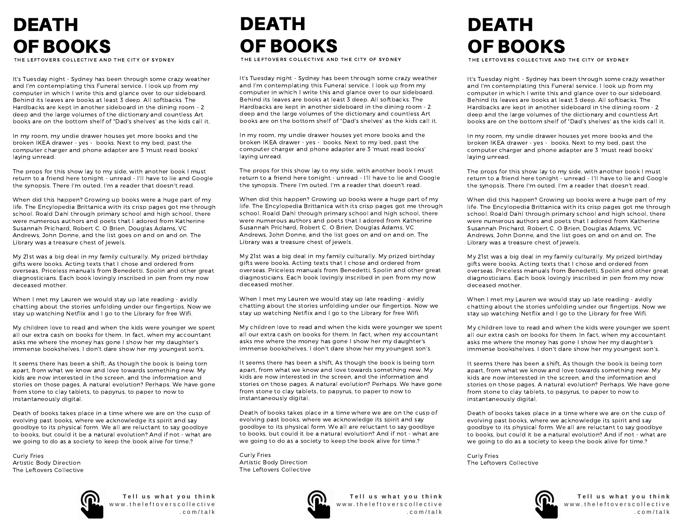## DEATH OF BOOKS

THE LEFTOVERS COLLECTIVE AND THE CITY OF SYDNEY

It's Tuesday night - Sydney has been through some crazy weather and I'm contemplating this Funeral service. I look up from my computer in which I write this and glance over to our sideboard. Behind its leaves are books at least 3 deep. All softbacks. The Hardbacks are kept in another sideboard in the dining room - 2 deep and the large volumes of the dictionary and countless Art books are on the bottom shelf of "Dad's shelves' as the kids call it.

In my room, my undie drawer houses yet more books and the broken IKEA drawer - yes - books. Next to my bed, past the computer charger and phone adapter are 3 'must read books' laying unread.

The props for this show lay to my side, with another book I must return to a friend here tonight - unread - I'll have to lie and Google the synopsis. There I'm outed. I'm a reader that doesn't read.

When did this happen? Growing up books were a huge part of my life. The Encylopedia Brittanica with its crisp pages got me through school. Roald Dahl through primary school and high school, there were numerous authors and poets that I adored from Katherine Susannah Prichard, Robert C. O Brien, Douglas Adams, VC Andrews, John Donne, and the list goes on and on and on. The Library was a treasure chest of jewels.

My 21st was a big deal in my family culturally. My prized birthday gifts were books. Acting texts that I chose and ordered from overseas. Priceless manuals from Benedetti, Spolin and other great diagnosticians. Each book lovingly inscribed in pen from my now deceased mother.

When I met my Lauren we would stay up late reading - avidly chatting about the stories unfolding under our fingertips. Now we stay up watching Netflix and I go to the Library for free Wifi.

My children love to read and when the kids were younger we spent all our extra cash on books for them. In fact, when my accountant asks me where the money has gone I show her my daughter's immense bookshelves. I don't dare show her my youngest son's.

It seems there has been a shift, As though the book is being torn apart, from what we know and love towards something new. My kids are now interested in the screen, and the information and stories on those pages. A natural evolution? Perhaps. We have gone from stone to clay tablets, to papyrus, to paper to now to instantaneously digital.

Death of books takes place in a time where we are on the cusp of evolving past books, where we acknowledge its spirit and say goodbye to its physical form. We all are reluctant to say goodbye to books, but could it be a natural evolution? And if not - what are we going to do as a society to keep the book alive for time.?

Curly Fries Artistic Body Direction The Leftovers Collective



**T e l l u s w h a t y o u t h i n k** www.theleftoverscollective . c o m / t a l k

## DEATH OF BOOKS

THE LEFTOVERS COLLECTIVE AND THE CITY OF SYDNEY

It's Tuesday night - Sydney has been through some crazy weather and I'm contemplating this Funeral service. I look up from my computer in which I write this and glance over to our sideboard. Behind its leaves are books at least 3 deep. All softbacks. The Hardbacks are kept in another sideboard in the dining room - 2 deep and the large volumes of the dictionary and countless Art books are on the bottom shelf of "Dad's shelves' as the kids call it.

In my room, my undie drawer houses yet more books and the broken IKEA drawer - yes - books. Next to my bed, past the computer charger and phone adapter are 3 'must read books' laying unread.

The props for this show lay to my side, with another book I must return to a friend here tonight - unread - I'll have to lie and Google the synopsis. There I'm outed. I'm a reader that doesn't read.

When did this happen? Growing up books were a huge part of my life. The Encylopedia Brittanica with its crisp pages got me through school. Roald Dahl through primary school and high school, there were numerous authors and poets that I adored from Katherine Susannah Prichard, Robert C. O Brien, Douglas Adams, VC Andrews, John Donne, and the list goes on and on and on. The Library was a treasure chest of jewels.

My 21st was a big deal in my family culturally. My prized birthday gifts were books. Acting texts that I chose and ordered from overseas. Priceless manuals from Benedetti, Spolin and other great diagnosticians. Each book lovingly inscribed in pen from my now deceased mother.

When I met my Lauren we would stay up late reading - avidly chatting about the stories unfolding under our fingertips. Now we stay up watching Netflix and I go to the Library for free Wifi.

My children love to read and when the kids were younger we spent all our extra cash on books for them. In fact, when my accountant asks me where the money has gone I show her my daughter's immense bookshelves. I don't dare show her my youngest son's.

It seems there has been a shift, As though the book is being torn apart, from what we know and love towards something new. My kids are now interested in the screen, and the information and stories on those pages. A natural evolution? Perhaps. We have gone from stone to clay tablets, to papyrus, to paper to now to instantaneously digital.

Death of books takes place in a time where we are on the cusp of evolving past books, where we acknowledge its spirit and say goodbye to its physical form. We all are reluctant to say goodbye to books, but could it be a natural evolution? And if not - what are we going to do as a society to keep the book alive for time.?

Curly Fries Artistic Body Direction The Leftovers Collective



**T e l l u s w h a t y o u t h i n k** www.theleftoverscollective . c o m / t a l k

## DEATH OF BOOKS

THE LEFTOVERS COLLECTIVE AND THE CITY OF SYDNEY

It's Tuesday night - Sydney has been through some crazy weather and I'm contemplating this Funeral service. I look up from my computer in which I write this and glance over to our sideboard. Behind its leaves are books at least 3 deep. All softbacks. The Hardbacks are kept in another sideboard in the dining room - 2 deep and the large volumes of the dictionary and countless Art books are on the bottom shelf of "Dad's shelves' as the kids call it.

In my room, my undie drawer houses yet more books and the broken IKEA drawer - yes - books. Next to my bed, past the computer charger and phone adapter are 3 'must read books' laying unread.

The props for this show lay to my side, with another book I must return to a friend here tonight - unread - I'll have to lie and Google the synopsis. There I'm outed. I'm a reader that doesn't read.

When did this happen? Growing up books were a huge part of my life. The Encylopedia Brittanica with its crisp pages got me through school. Roald Dahl through primary school and high school, there were numerous authors and poets that I adored from Katherine Susannah Prichard, Robert C. O Brien, Douglas Adams, VC Andrews, John Donne, and the list goes on and on and on. The Library was a treasure chest of jewels.

My 21st was a big deal in my family culturally. My prized birthday gifts were books. Acting texts that I chose and ordered from overseas. Priceless manuals from Benedetti, Spolin and other great diagnosticians. Each book lovingly inscribed in pen from my now deceased mother.

When I met my Lauren we would stay up late reading - avidly chatting about the stories unfolding under our fingertips. Now we stay up watching Netflix and I go to the Library for free Wifi.

My children love to read and when the kids were younger we spent all our extra cash on books for them. In fact, when my accountant asks me where the money has gone I show her my daughter's immense bookshelves. I don't dare show her my youngest son's.

It seems there has been a shift, As though the book is being torn apart, from what we know and love towards something new. My kids are now interested in the screen, and the information and stories on those pages. A natural evolution? Perhaps. We have gone from stone to clay tablets, to papyrus, to paper to now to instantaneously digital.

Death of books takes place in a time where we are on the cusp of evolving past books, where we acknowledge its spirit and say goodbye to its physical form. We all are reluctant to say goodbye to books, but could it be a natural evolution? And if not - what are we going to do as a society to keep the book alive for time.?

Curly Fries The Leftovers Collective



. c o m / t a l k